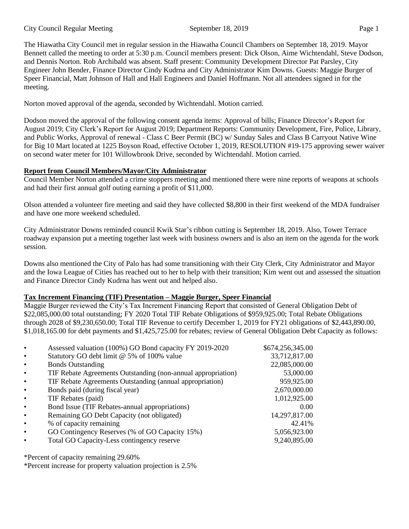The Hiawatha City Council met in regular session in the Hiawatha Council Chambers on September 18, 2019. Mayor Bennett called the meeting to order at 5:30 p.m. Council members present: Dick Olson, Aime Wichtendahl, Steve Dodson, and Dennis Norton. Rob Archibald was absent. Staff present: Community Development Director Pat Parsley, City Engineer John Bender, Finance Director Cindy Kudrna and City Administrator Kim Downs. Guests: Maggie Burger of Speer Financial, Matt Johnson of Hall and Hall Engineers and Daniel Hoffmann. Not all attendees signed in for the meeting.

Norton moved approval of the agenda, seconded by Wichtendahl. Motion carried.

Dodson moved the approval of the following consent agenda items: Approval of bills; Finance Director's Report for August 2019; City Clerk's Report for August 2019; Department Reports: Community Development, Fire, Police, Library, and Public Works, Approval of renewal - Class C Beer Permit (BC) w/ Sunday Sales and Class B Carryout Native Wine for Big 10 Mart located at 1225 Boyson Road, effective October 1, 2019, RESOLUTION #19-175 approving sewer waiver on second water meter for 101 Willowbrook Drive, seconded by Wichtendahl. Motion carried.

# **Report from Council Members/Mayor/City Administrator**

Council Member Norton attended a crime stoppers meeting and mentioned there were nine reports of weapons at schools and had their first annual golf outing earning a profit of \$11,000.

Olson attended a volunteer fire meeting and said they have collected \$8,800 in their first weekend of the MDA fundraiser and have one more weekend scheduled.

City Administrator Downs reminded council Kwik Star's ribbon cutting is September 18, 2019. Also, Tower Terrace roadway expansion put a meeting together last week with business owners and is also an item on the agenda for the work session.

Downs also mentioned the City of Palo has had some transitioning with their City Clerk, City Administrator and Mayor and the Iowa League of Cities has reached out to her to help with their transition; Kim went out and assessed the situation and Finance Director Cindy Kudrna has went out and helped also.

# **Tax Increment Financing (TIF) Presentation – Maggie Burger, Speer Financial**

Maggie Burger reviewed the City's Tax Increment Financing Report that consisted of General Obligation Debt of \$22,085,000.00 total outstanding; FY 2020 Total TIF Rebate Obligations of \$959,925.00; Total Rebate Obligations through 2028 of \$9,230,650.00; Total TIF Revenue to certify December 1, 2019 for FY21 obligations of \$2,443,890.00, \$1,018,165.00 for debt payments and \$1,425,725.00 for rebates; review of General Obligation Debt Capacity as follows:

| $\bullet$ | Assessed valuation (100%) GO Bond capacity FY 2019-2020      | \$674,256,345.00 |
|-----------|--------------------------------------------------------------|------------------|
| $\bullet$ | Statutory GO debt limit @ 5% of 100% value                   | 33,712,817.00    |
| $\bullet$ | <b>Bonds Outstanding</b>                                     | 22,085,000.00    |
| $\bullet$ | TIF Rebate Agreements Outstanding (non-annual appropriation) | 53,000.00        |
| $\bullet$ | TIF Rebate Agreements Outstanding (annual appropriation)     | 959,925.00       |
| $\bullet$ | Bonds paid (during fiscal year)                              | 2,670,000.00     |
| $\bullet$ | TIF Rebates (paid)                                           | 1,012,925.00     |
| $\bullet$ | Bond Issue (TIF Rebates-annual appropriations)               | 0.00             |
| $\bullet$ | Remaining GO Debt Capacity (not obligated)                   | 14,297,817.00    |
| $\bullet$ | % of capacity remaining                                      | 42.41%           |
| $\bullet$ | GO Contingency Reserves (% of GO Capacity 15%)               | 5,056,923.00     |
|           | Total GO Capacity-Less contingency reserve                   | 9,240,895.00     |
|           |                                                              |                  |

\*Percent of capacity remaining 29.60%

\*Percent increase for property valuation projection is 2.5%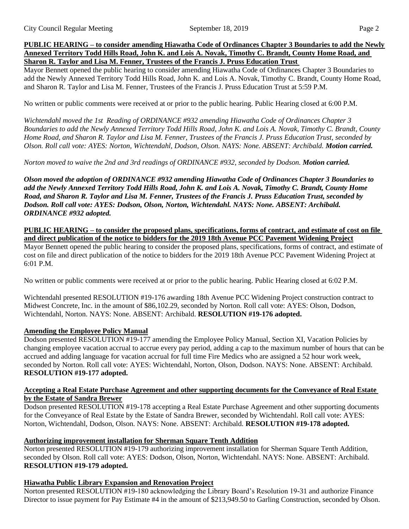### **PUBLIC HEARING – to consider amending Hiawatha Code of Ordinances Chapter 3 Boundaries to add the Newly Annexed Territory Todd Hills Road, John K. and Lois A. Novak, Timothy C. Brandt, County Home Road, and Sharon R. Taylor and Lisa M. Fenner, Trustees of the Francis J. Pruss Education Trust**

Mayor Bennett opened the public hearing to consider amending Hiawatha Code of Ordinances Chapter 3 Boundaries to add the Newly Annexed Territory Todd Hills Road, John K. and Lois A. Novak, Timothy C. Brandt, County Home Road, and Sharon R. Taylor and Lisa M. Fenner, Trustees of the Francis J. Pruss Education Trust at 5:59 P.M.

No written or public comments were received at or prior to the public hearing. Public Hearing closed at 6:00 P.M.

*Wichtendahl moved the 1st Reading of ORDINANCE #932 amending Hiawatha Code of Ordinances Chapter 3 Boundaries to add the Newly Annexed Territory Todd Hills Road, John K. and Lois A. Novak, Timothy C. Brandt, County Home Road, and Sharon R. Taylor and Lisa M. Fenner, Trustees of the Francis J. Pruss Education Trust, seconded by Olson. Roll call vote: AYES: Norton, Wichtendahl, Dodson, Olson. NAYS: None. ABSENT: Archibald. Motion carried.* 

*Norton moved to waive the 2nd and 3rd readings of ORDINANCE #932, seconded by Dodson. Motion carried.* 

*Olson moved the adoption of ORDINANCE #932 amending Hiawatha Code of Ordinances Chapter 3 Boundaries to add the Newly Annexed Territory Todd Hills Road, John K. and Lois A. Novak, Timothy C. Brandt, County Home Road, and Sharon R. Taylor and Lisa M. Fenner, Trustees of the Francis J. Pruss Education Trust, seconded by Dodson. Roll call vote: AYES: Dodson, Olson, Norton, Wichtendahl. NAYS: None. ABSENT: Archibald. ORDINANCE #932 adopted.* 

**PUBLIC HEARING – to consider the proposed plans, specifications, forms of contract, and estimate of cost on file and direct publication of the notice to bidders for the 2019 18th Avenue PCC Pavement Widening Project** Mayor Bennett opened the public hearing to consider the proposed plans, specifications, forms of contract, and estimate of cost on file and direct publication of the notice to bidders for the 2019 18th Avenue PCC Pavement Widening Project at 6:01 P.M.

No written or public comments were received at or prior to the public hearing. Public Hearing closed at 6:02 P.M.

Wichtendahl presented RESOLUTION #19-176 awarding 18th Avenue PCC Widening Project construction contract to Midwest Concrete, Inc. in the amount of \$86,102.29, seconded by Norton. Roll call vote: AYES: Olson, Dodson, Wichtendahl, Norton. NAYS: None. ABSENT: Archibald. **RESOLUTION #19-176 adopted.** 

## **Amending the Employee Policy Manual**

Dodson presented RESOLUTION #19-177 amending the Employee Policy Manual, Section XI, Vacation Policies by changing employee vacation accrual to accrue every pay period, adding a cap to the maximum number of hours that can be accrued and adding language for vacation accrual for full time Fire Medics who are assigned a 52 hour work week, seconded by Norton. Roll call vote: AYES: Wichtendahl, Norton, Olson, Dodson. NAYS: None. ABSENT: Archibald. **RESOLUTION #19-177 adopted.** 

## **Accepting a Real Estate Purchase Agreement and other supporting documents for the Conveyance of Real Estate by the Estate of Sandra Brewer**

Dodson presented RESOLUTION #19-178 accepting a Real Estate Purchase Agreement and other supporting documents for the Conveyance of Real Estate by the Estate of Sandra Brewer, seconded by Wichtendahl. Roll call vote: AYES: Norton, Wichtendahl, Dodson, Olson. NAYS: None. ABSENT: Archibald. **RESOLUTION #19-178 adopted.** 

# **Authorizing improvement installation for Sherman Square Tenth Addition**

Norton presented RESOLUTION #19-179 authorizing improvement installation for Sherman Square Tenth Addition, seconded by Olson. Roll call vote: AYES: Dodson, Olson, Norton, Wichtendahl. NAYS: None. ABSENT: Archibald. **RESOLUTION #19-179 adopted.** 

## **Hiawatha Public Library Expansion and Renovation Project**

Norton presented RESOLUTION #19-180 acknowledging the Library Board's Resolution 19-31 and authorize Finance Director to issue payment for Pay Estimate #4 in the amount of \$213,949.50 to Garling Construction, seconded by Olson.